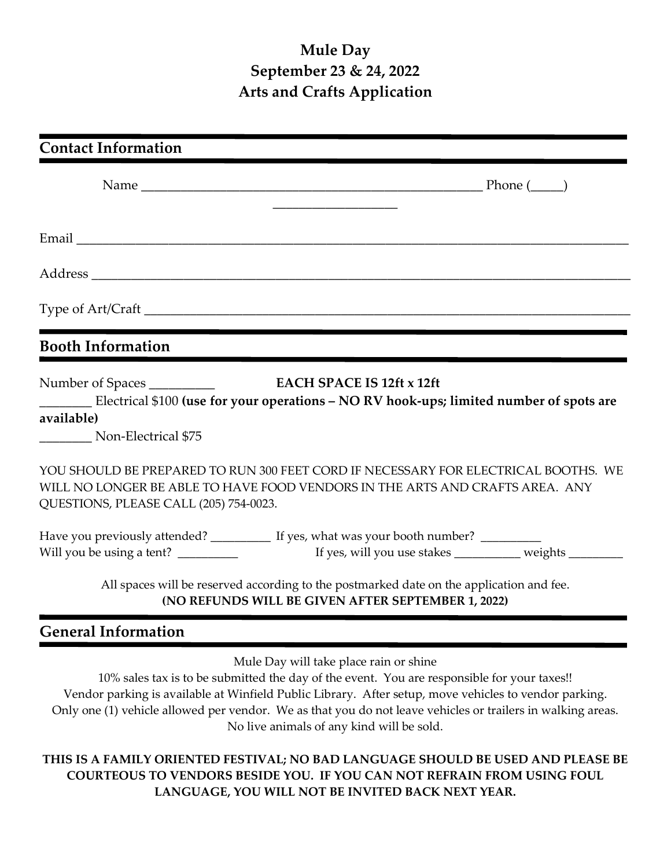## **Mule Day September 23 & 24, 2022 Arts and Crafts Application**

| <b>Contact Information</b>                                                                                                                                                                                   |
|--------------------------------------------------------------------------------------------------------------------------------------------------------------------------------------------------------------|
|                                                                                                                                                                                                              |
|                                                                                                                                                                                                              |
|                                                                                                                                                                                                              |
|                                                                                                                                                                                                              |
| <b>Booth Information</b>                                                                                                                                                                                     |
| Number of Spaces _____________<br><b>EACH SPACE IS 12ft x 12ft</b><br>Electrical \$100 (use for your operations - NO RV hook-ups; limited number of spots are<br>available)<br>Non-Electrical \$75           |
| YOU SHOULD BE PREPARED TO RUN 300 FEET CORD IF NECESSARY FOR ELECTRICAL BOOTHS. WE<br>WILL NO LONGER BE ABLE TO HAVE FOOD VENDORS IN THE ARTS AND CRAFTS AREA. ANY<br>QUESTIONS, PLEASE CALL (205) 754-0023. |
| Have you previously attended? ___________ If yes, what was your booth number? _________                                                                                                                      |
| All spaces will be reserved according to the postmarked date on the application and fee.<br>(NO REFUNDS WILL BE GIVEN AFTER SEPTEMBER 1, 2022)                                                               |

## **General Information**

Mule Day will take place rain or shine

10% sales tax is to be submitted the day of the event. You are responsible for your taxes!! Vendor parking is available at Winfield Public Library. After setup, move vehicles to vendor parking. Only one (1) vehicle allowed per vendor. We as that you do not leave vehicles or trailers in walking areas. No live animals of any kind will be sold.

**THIS IS A FAMILY ORIENTED FESTIVAL; NO BAD LANGUAGE SHOULD BE USED AND PLEASE BE COURTEOUS TO VENDORS BESIDE YOU. IF YOU CAN NOT REFRAIN FROM USING FOUL LANGUAGE, YOU WILL NOT BE INVITED BACK NEXT YEAR.**